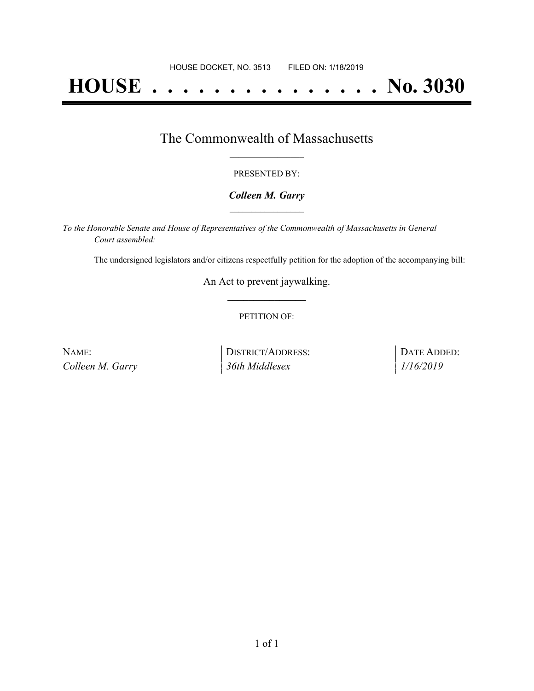# **HOUSE . . . . . . . . . . . . . . . No. 3030**

### The Commonwealth of Massachusetts **\_\_\_\_\_\_\_\_\_\_\_\_\_\_\_\_\_**

#### PRESENTED BY:

#### *Colleen M. Garry* **\_\_\_\_\_\_\_\_\_\_\_\_\_\_\_\_\_**

*To the Honorable Senate and House of Representatives of the Commonwealth of Massachusetts in General Court assembled:*

The undersigned legislators and/or citizens respectfully petition for the adoption of the accompanying bill:

An Act to prevent jaywalking. **\_\_\_\_\_\_\_\_\_\_\_\_\_\_\_**

#### PETITION OF:

| NAME:            | DISTRICT/ADDRESS: | DATE ADDED: |
|------------------|-------------------|-------------|
| Colleen M. Garry | 36th Middlesex    | 1/16/2019   |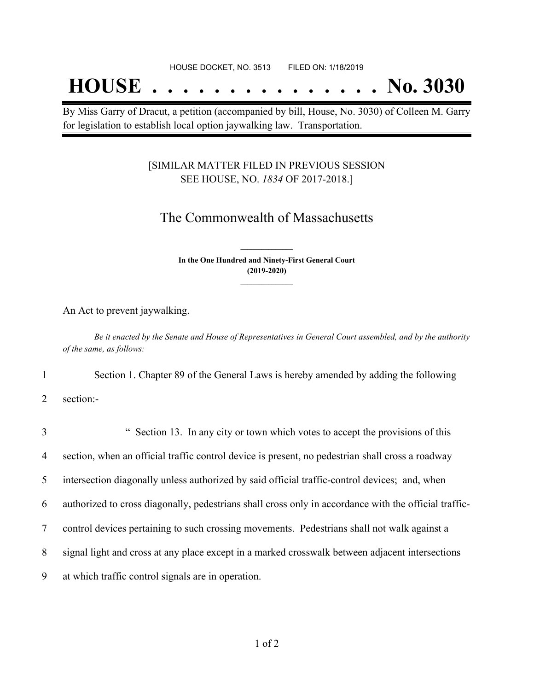## **HOUSE . . . . . . . . . . . . . . . No. 3030**

By Miss Garry of Dracut, a petition (accompanied by bill, House, No. 3030) of Colleen M. Garry for legislation to establish local option jaywalking law. Transportation.

#### [SIMILAR MATTER FILED IN PREVIOUS SESSION SEE HOUSE, NO. *1834* OF 2017-2018.]

## The Commonwealth of Massachusetts

**In the One Hundred and Ninety-First General Court (2019-2020) \_\_\_\_\_\_\_\_\_\_\_\_\_\_\_**

**\_\_\_\_\_\_\_\_\_\_\_\_\_\_\_**

An Act to prevent jaywalking.

Be it enacted by the Senate and House of Representatives in General Court assembled, and by the authority *of the same, as follows:*

1 Section 1. Chapter 89 of the General Laws is hereby amended by adding the following

2 section:-

| 3 | " Section 13. In any city or town which votes to accept the provisions of this                        |
|---|-------------------------------------------------------------------------------------------------------|
| 4 | section, when an official traffic control device is present, no pedestrian shall cross a roadway      |
| 5 | intersection diagonally unless authorized by said official traffic-control devices; and, when         |
| 6 | authorized to cross diagonally, pedestrians shall cross only in accordance with the official traffic- |
| 7 | control devices pertaining to such crossing movements. Pedestrians shall not walk against a           |
| 8 | signal light and cross at any place except in a marked crosswalk between adjacent intersections       |
| 9 | at which traffic control signals are in operation.                                                    |